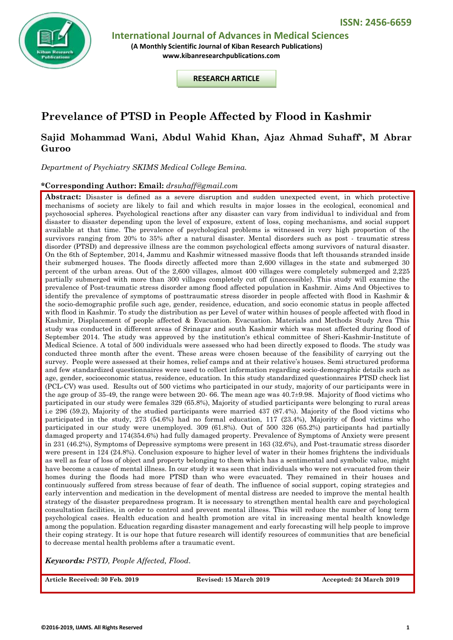

 **International Journal of Advances in Medical Sciences**

**(A Monthly Scientific Journal of Kiban Research Publications) [www.kibanresearchpublications.com](http://www.kibanresearchpublications.com/)**

**RESEARCH ARTICLE**

# **Prevelance of PTSD in People Affected by Flood in Kashmir**

## **Sajid Mohammad Wani, Abdul Wahid Khan, Ajaz Ahmad Suhaff\*, M Abrar Guroo**

*Department of Psychiatry SKIMS Medical College Bemina.*

#### **\*Corresponding Author: Email:** *drsuhaff@gmail.com*

**Abstract:** Disaster is defined as a severe disruption and sudden unexpected event, in which protective mechanisms of society are likely to fail and which results in major losses in the ecological, economical and psychosocial spheres. Psychological reactions after any disaster can vary from individual to individual and from disaster to disaster depending upon the level of exposure, extent of loss, coping mechanisms, and social support available at that time. The prevalence of psychological problems is witnessed in very high proportion of the survivors ranging from 20% to 35% after a natural disaster. Mental disorders such as post - traumatic stress disorder (PTSD) and depressive illness are the common psychological effects among survivors of natural disaster. On the 6th of September, 2014, Jammu and Kashmir witnessed massive floods that left thousands stranded inside their submerged houses. The floods directly affected more than 2,600 villages in the state and submerged 30 percent of the urban areas. Out of the 2,600 villages, almost 400 villages were completely submerged and 2,225 partially submerged with more than 300 villages completely cut off (inaccessible). This study will examine the prevalence of Post-traumatic stress disorder among flood affected population in Kashmir. Aims And Objectives to identify the prevalence of symptoms of posttraumatic stress disorder in people affected with flood in Kashmir & the socio-demographic profile such age, gender, residence, education, and socio economic status in people affected with flood in Kashmir. To study the distribution as per Level of water within houses of people affected with flood in Kashmir, Displacement of people affected & Evacuation. Evacuation. Materials and Methods Study Area This study was conducted in different areas of Srinagar and south Kashmir which was most affected during flood of September 2014. The study was approved by the institution's ethical committee of Sheri-Kashmir-Institute of Medical Science. A total of 500 individuals were assessed who had been directly exposed to floods. The study was conducted three month after the event. These areas were chosen because of the feasibility of carrying out the survey. People were assessed at their homes, relief camps and at their relative's houses. Semi structured proforma and few standardized questionnaires were used to collect information regarding socio-demographic details such as age, gender, socioeconomic status, residence, education. In this study standardized questionnaires PTSD check list (PCL-CV) was used. Results out of 500 victims who participated in our study, majority of our participants were in the age group of 35-49, the range were between 20- 66. The mean age was 40.7±9.98. Majority of flood victims who participated in our study were females 329 (65.8%), Majority of studied participants were belonging to rural areas i.e 296 (59.2), Majority of the studied participants were married 437 (87.4%). Majority of the flood victims who participated in the study, 273 (54.6%) had no formal education, 117 (23.4%), Majority of flood victims who participated in our study were unemployed. 309 (61.8%). Out of 500 326 (65.2%) participants had partially damaged property and 174(354.6%) had fully damaged property. Prevalence of Symptoms of Anxiety were present in 231 (46.2%), Symptoms of Depressive symptoms were present in 163 (32.6%), and Post-traumatic stress disorder were present in 124 (24.8%). Conclusion exposure to higher level of water in their homes frightens the individuals as well as fear of loss of object and property belonging to them which has a sentimental and symbolic value, might have become a cause of mental illness. In our study it was seen that individuals who were not evacuated from their homes during the floods had more PTSD than who were evacuated. They remained in their houses and continuously suffered from stress because of fear of death. The influence of social support, coping strategies and early intervention and medication in the development of mental distress are needed to improve the mental health strategy of the disaster preparedness program. It is necessary to strengthen mental health care and psychological consultation facilities, in order to control and prevent mental illness. This will reduce the number of long term psychological cases. Health education and health promotion are vital in increasing mental health knowledge among the population. Education regarding disaster management and early forecasting will help people to improve their coping strategy. It is our hope that future research will identify resources of communities that are beneficial to decrease mental health problems after a traumatic event.

*Keywords: PSTD, People Affected, Flood.*

**Article Received: 30 Feb. 2019 Revised: 15 March 2019 Accepted: 24 March 2019**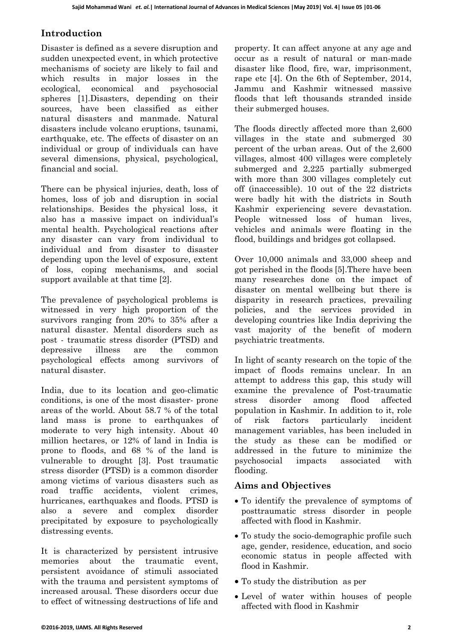## **Introduction**

Disaster is defined as a severe disruption and sudden unexpected event, in which protective mechanisms of society are likely to fail and which results in major losses in the ecological, economical and psychosocial spheres [1].Disasters, depending on their sources, have been classified as either natural disasters and manmade. Natural disasters include volcano eruptions, tsunami, earthquake, etc. The effects of disaster on an individual or group of individuals can have several dimensions, physical, psychological, financial and social.

There can be physical injuries, death, loss of homes, loss of job and disruption in social relationships. Besides the physical loss, it also has a massive impact on individual's mental health. Psychological reactions after any disaster can vary from individual to individual and from disaster to disaster depending upon the level of exposure, extent of loss, coping mechanisms, and social support available at that time [2].

The prevalence of psychological problems is witnessed in very high proportion of the survivors ranging from 20% to 35% after a natural disaster. Mental disorders such as post - traumatic stress disorder (PTSD) and depressive illness are the common psychological effects among survivors of natural disaster.

India, due to its location and geo-climatic conditions, is one of the most disaster- prone areas of the world. About 58.7 % of the total land mass is prone to earthquakes of moderate to very high intensity. About 40 million hectares, or 12% of land in India is prone to floods, and 68 % of the land is vulnerable to drought [3]. Post traumatic stress disorder (PTSD) is a common disorder among victims of various disasters such as road traffic accidents, violent crimes, hurricanes, earthquakes and floods. PTSD is also a severe and complex disorder precipitated by exposure to psychologically distressing events.

It is characterized by persistent intrusive memories about the traumatic event, persistent avoidance of stimuli associated with the trauma and persistent symptoms of increased arousal. These disorders occur due to effect of witnessing destructions of life and property. It can affect anyone at any age and occur as a result of natural or man-made disaster like flood, fire, war, imprisonment, rape etc [4]. On the 6th of September, 2014, Jammu and Kashmir witnessed massive floods that left thousands stranded inside their submerged houses.

The floods directly affected more than 2,600 villages in the state and submerged 30 percent of the urban areas. Out of the 2,600 villages, almost 400 villages were completely submerged and 2,225 partially submerged with more than 300 villages completely cut off (inaccessible). 10 out of the 22 districts were badly hit with the districts in South Kashmir experiencing severe devastation. People witnessed loss of human lives, vehicles and animals were floating in the flood, buildings and bridges got collapsed.

Over 10,000 animals and 33,000 sheep and got perished in the floods [5].There have been many researches done on the impact of disaster on mental wellbeing but there is disparity in research practices, prevailing policies, and the services provided in developing countries like India depriving the vast majority of the benefit of modern psychiatric treatments.

In light of scanty research on the topic of the impact of floods remains unclear. In an attempt to address this gap, this study will examine the prevalence of Post-traumatic stress disorder among flood affected population in Kashmir. In addition to it, role of risk factors particularly incident management variables, has been included in the study as these can be modified or addressed in the future to minimize the psychosocial impacts associated with flooding.

## **Aims and Objectives**

- To identify the prevalence of symptoms of posttraumatic stress disorder in people affected with flood in Kashmir.
- To study the socio-demographic profile such age, gender, residence, education, and socio economic status in people affected with flood in Kashmir.
- To study the distribution as per
- Level of water within houses of people affected with flood in Kashmir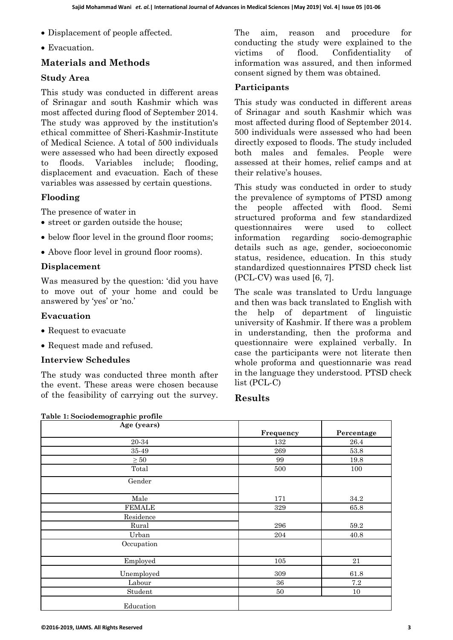- Displacement of people affected.
- Evacuation.

## **Materials and Methods**

### **Study Area**

This study was conducted in different areas of Srinagar and south Kashmir which was most affected during flood of September 2014. The study was approved by the institution's ethical committee of Sheri-Kashmir-Institute of Medical Science. A total of 500 individuals were assessed who had been directly exposed to floods. Variables include; flooding, displacement and evacuation. Each of these variables was assessed by certain questions.

## **Flooding**

The presence of water in

- street or garden outside the house;
- below floor level in the ground floor rooms;
- Above floor level in ground floor rooms).

#### **Displacement**

Was measured by the question: 'did you have to move out of your home and could be answered by 'yes' or 'no.'

#### **Evacuation**

- Request to evacuate
- Request made and refused.

**Table 1: Sociodemographic profile**

#### **Interview Schedules**

The study was conducted three month after the event. These areas were chosen because of the feasibility of carrying out the survey. The aim, reason and procedure for conducting the study were explained to the victims of flood. Confidentiality of information was assured, and then informed consent signed by them was obtained.

#### **Participants**

This study was conducted in different areas of Srinagar and south Kashmir which was most affected during flood of September 2014. 500 individuals were assessed who had been directly exposed to floods. The study included both males and females. People were assessed at their homes, relief camps and at their relative's houses.

This study was conducted in order to study the prevalence of symptoms of PTSD among the people affected with flood. Semi structured proforma and few standardized questionnaires were used to collect information regarding socio-demographic details such as age, gender, socioeconomic status, residence, education. In this study standardized questionnaires PTSD check list  $(PCL-CV)$  was used [6, 7].

The scale was translated to Urdu language and then was back translated to English with the help of department of linguistic university of Kashmir. If there was a problem in understanding, then the proforma and questionnaire were explained verbally. In case the participants were not literate then whole proforma and questionnarie was read in the language they understood. PTSD check list (PCL-C)

### **Results**

| Age (years)    |           |            |
|----------------|-----------|------------|
|                | Frequency | Percentage |
| $20\mbox{-}34$ | 132       | 26.4       |
| 35-49          | 269       | 53.8       |
| $\geq 50$      | 99        | 19.8       |
| Total          | 500       | 100        |
| Gender         |           |            |
|                |           |            |
| Male           | 171       | 34.2       |
| <b>FEMALE</b>  | 329       | 65.8       |
| Residence      |           |            |
| Rural          | 296       | 59.2       |
| Urban          | 204       | 40.8       |
| Occupation     |           |            |
| Employed       | 105       | 21         |
| Unemployed     | 309       | 61.8       |
| Labour         | $36\,$    | 7.2        |
| Student        | $50\,$    | $10\,$     |
| Education      |           |            |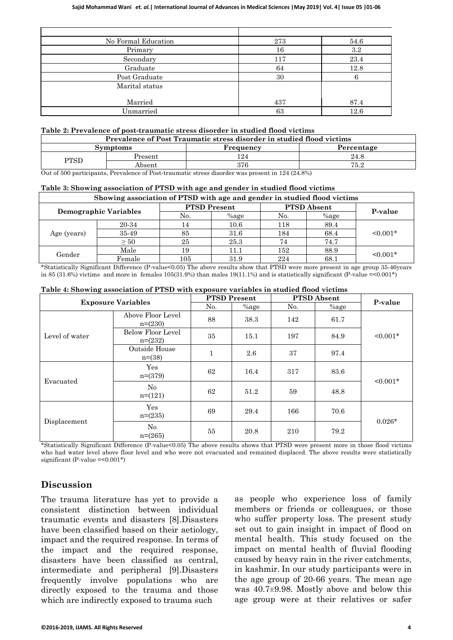| No Formal Education | 273 | 54.6 |
|---------------------|-----|------|
| Primary             | 16  | 3.2  |
| Secondary           | 117 | 23.4 |
| Graduate            | 64  | 12.8 |
| Post Graduate       | 30  |      |
| Marital status      |     |      |
| Married             | 437 | 87.4 |
| Unmarried           | 63  | 12.6 |

#### **Table 2: Prevalence of post-traumatic stress disorder in studied flood victims**

| Prevalence of Post Traumatic stress disorder in studied flood victims |                 |           |            |  |  |
|-----------------------------------------------------------------------|-----------------|-----------|------------|--|--|
|                                                                       | <b>Symptoms</b> | Frequency | Percentage |  |  |
| Present<br>PTSD<br>Absent                                             |                 | 24        | 24.8       |  |  |
|                                                                       |                 | 376       | 75.2       |  |  |

Out of 500 participants, Prevalence of Post-traumatic stress disorder was present in 124 (24.8%)

#### **Table 3: Showing association of PTSD with age and gender in studied flood victims**

| Showing association of PTSD with age and gender in studied flood victims |           |                     |         |                    |         |               |
|--------------------------------------------------------------------------|-----------|---------------------|---------|--------------------|---------|---------------|
| Demographic Variables                                                    |           | <b>PTSD Present</b> |         | <b>PTSD Absent</b> |         |               |
|                                                                          |           | No.                 | $%$ age | No.                | $%$ age | P-value       |
| Age (years)                                                              | 20-34     |                     | 10.6    | 118                | 89.4    | $\leq 0.001*$ |
|                                                                          | 35-49     | 85                  | 31.6    | 184                | 68.4    |               |
|                                                                          | $\geq 50$ | 25                  | 25.3    | 74                 | 74.7    |               |
| Gender                                                                   | Male      | 19                  | 11.1    | 152                | 88.9    | $\leq 0.001*$ |
|                                                                          | Female    | 105                 | 31.9    | 224                | 68.1    |               |

\*Statistically Significant Difference (P-value<0.05) The above results show that PTSD were more present in age group 35-46years in 85 (31.6%) victims and more in females 105(31.9%) than males 19(11.1%) and is statistically significant (P-value = < 0.001\*)

| <b>Exposure Variables</b> |                                | <b>PTSD Present</b> |         | <b>PTSD</b> Absent |         |               |
|---------------------------|--------------------------------|---------------------|---------|--------------------|---------|---------------|
|                           |                                | No.                 | $%$ age | No.                | $%$ age | P-value       |
| Level of water            | Above Floor Level<br>$n=(230)$ | 88                  | 38.3    | 142                | 61.7    | $\leq 0.001*$ |
|                           | Below Floor Level<br>$n=(232)$ | 35                  | 15.1    | 197                | 84.9    |               |
|                           | Outside House<br>$n=(38)$      | $\mathbf{1}$        | 2.6     | 37                 | 97.4    |               |
| Evacuated                 | Yes<br>$n=(379)$               | 62                  | 16.4    | 317                | 83.6    | $\leq 0.001*$ |
|                           | $\rm No$<br>$n=(121)$          | 62                  | 51.2    | 59                 | 48.8    |               |
| Displacement              | Yes<br>$n=(235)$               | 69                  | 29.4    | 166                | 70.6    |               |
|                           | No<br>$n=(265)$                | 55                  | 20.8    | 210                | 79.2    | $0.026*$      |

\*Statistically Significant Difference (P-value<0.05) The above results shows that PTSD were present more in those flood victims who had water level above floor level and who were not evacuated and remained displaced. The above results were statistically significant (P-value =<0.001\*)

## **Discussion**

The trauma literature has yet to provide a consistent distinction between individual traumatic events and disasters [8].Disasters have been classified based on their aetiology, impact and the required response. In terms of the impact and the required response, disasters have been classified as central, intermediate and peripheral [9].Disasters frequently involve populations who are directly exposed to the trauma and those which are indirectly exposed to trauma such

as people who experience loss of family members or friends or colleagues, or those who suffer property loss. The present study set out to gain insight in impact of flood on mental health. This study focused on the impact on mental health of fluvial flooding caused by heavy rain in the river catchments, in kashmir. In our study participants were in the age group of 20-66 years. The mean age was 40.7±9.98. Mostly above and below this age group were at their relatives or safer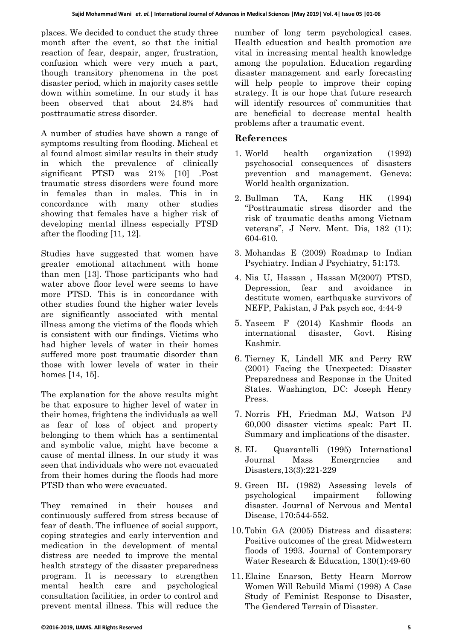places. We decided to conduct the study three month after the event, so that the initial reaction of fear, despair, anger, frustration, confusion which were very much a part, though transitory phenomena in the post disaster period, which in majority cases settle down within sometime. In our study it has been observed that about 24.8% had posttraumatic stress disorder.

A number of studies have shown a range of symptoms resulting from flooding. Micheal et al found almost similar results in their study in which the prevalence of clinically significant PTSD was 21% [10] .Post traumatic stress disorders were found more in females than in males. This in in concordance with many other studies showing that females have a higher risk of developing mental illness especially PTSD after the flooding [11, 12].

Studies have suggested that women have greater emotional attachment with home than men [13]. Those participants who had water above floor level were seems to have more PTSD. This is in concordance with other studies found the higher water levels are significantly associated with mental illness among the victims of the floods which is consistent with our findings. Victims who had higher levels of water in their homes suffered more post traumatic disorder than those with lower levels of water in their homes [14, 15].

The explanation for the above results might be that exposure to higher level of water in their homes, frightens the individuals as well as fear of loss of object and property belonging to them which has a sentimental and symbolic value, might have become a cause of mental illness. In our study it was seen that individuals who were not evacuated from their homes during the floods had more PTSD than who were evacuated.

They remained in their houses and continuously suffered from stress because of fear of death. The influence of social support, coping strategies and early intervention and medication in the development of mental distress are needed to improve the mental health strategy of the disaster preparedness program. It is necessary to strengthen mental health care and psychological consultation facilities, in order to control and prevent mental illness. This will reduce the number of long term psychological cases. Health education and health promotion are vital in increasing mental health knowledge among the population. Education regarding disaster management and early forecasting will help people to improve their coping strategy. It is our hope that future research will identify resources of communities that are beneficial to decrease mental health problems after a traumatic event.

## **References**

- 1. World health organization (1992) psychosocial consequences of disasters prevention and management. Geneva: World health organization.
- 2. Bullman TA, Kang HK (1994) "Posttraumatic stress disorder and the risk of traumatic deaths among Vietnam veterans", J Nerv. Ment. Dis, 182 (11): 604-610.
- 3. Mohandas E (2009) Roadmap to Indian Psychiatry. Indian J Psychiatry, 51:173.
- 4. Nia U, Hassan , Hassan M(2007) PTSD, Depression, fear and avoidance in destitute women, earthquake survivors of NEFP, Pakistan, J Pak psych soc, 4:44-9
- 5. Yaseem F (2014) Kashmir floods an international disaster, Govt. Rising Kashmir.
- 6. Tierney K, Lindell MK and Perry RW (2001) Facing the Unexpected: Disaster Preparedness and Response in the United States. Washington, DC: Joseph Henry Press.
- 7. Norris FH, Friedman MJ, Watson PJ 60,000 disaster victims speak: Part II. Summary and implications of the disaster.
- 8. EL Quarantelli (1995) International Journal Mass Emergrncies and Disasters,13(3):221-229
- 9. Green BL (1982) Assessing levels of psychological impairment following disaster. Journal of Nervous and Mental Disease, 170:544-552.
- 10.Tobin GA (2005) Distress and disasters: Positive outcomes of the great Midwestern floods of 1993. Journal of Contemporary Water Research & Education, 130(1):49-60
- 11.Elaine Enarson, Betty Hearn Morrow Women Will Rebuild Miami (1998) A Case Study of Feminist Response to Disaster, The Gendered Terrain of Disaster.